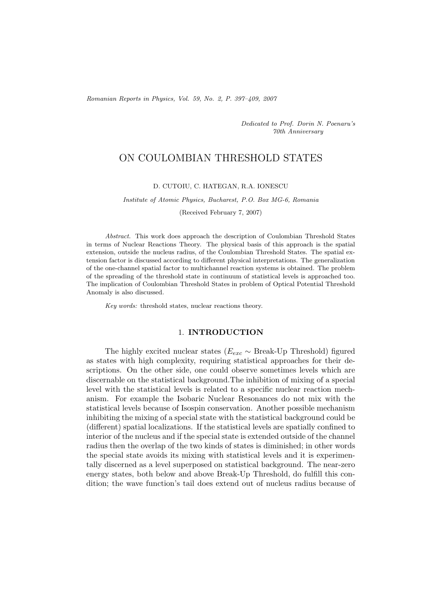*Romanian Reports in Physics, Vol. 59, No. 2, P. 397–409, 2007*

*Dedicated to Prof. Dorin N. Poenaru's 70th Anniversary*

# ON COULOMBIAN THRESHOLD STATES

#### D. CUTOIU, C. HATEGAN, R.A. IONESCU

#### *Institute of Atomic Physics, Bucharest, P.O. Box MG-6, Romania*

(Received February 7, 2007)

*Abstract.* This work does approach the description of Coulombian Threshold States in terms of Nuclear Reactions Theory. The physical basis of this approach is the spatial extension, outside the nucleus radius, of the Coulombian Threshold States. The spatial extension factor is discussed according to different physical interpretations. The generalization of the one-channel spatial factor to multichannel reaction systems is obtained. The problem of the spreading of the threshold state in continuum of statistical levels is approached too. The implication of Coulombian Threshold States in problem of Optical Potential Threshold Anomaly is also discussed.

*Key words:* threshold states, nuclear reactions theory.

## 1. **INTRODUCTION**

The highly excited nuclear states ( $E_{exc} \sim$  Break-Up Threshold) figured as states with high complexity, requiring statistical approaches for their descriptions. On the other side, one could observe sometimes levels which are discernable on the statistical background.The inhibition of mixing of a special level with the statistical levels is related to a specific nuclear reaction mechanism. For example the Isobaric Nuclear Resonances do not mix with the statistical levels because of Isospin conservation. Another possible mechanism inhibiting the mixing of a special state with the statistical background could be (different) spatial localizations. If the statistical levels are spatially confined to interior of the nucleus and if the special state is extended outside of the channel radius then the overlap of the two kinds of states is diminished; in other words the special state avoids its mixing with statistical levels and it is experimentally discerned as a level superposed on statistical background. The near-zero energy states, both below and above Break-Up Threshold, do fulfill this condition; the wave function's tail does extend out of nucleus radius because of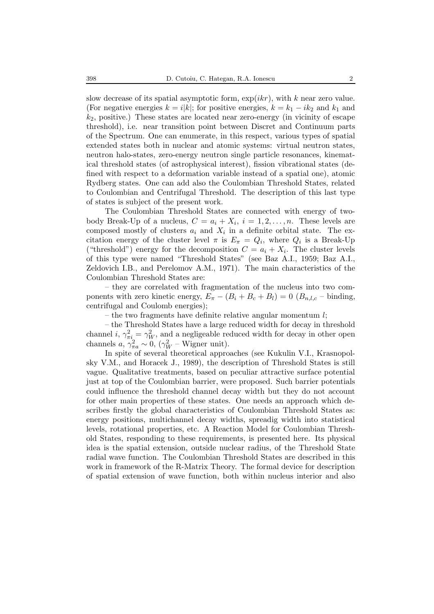slow decrease of its spatial asymptotic form,  $\exp(ikr)$ , with k near zero value. (For negative energies  $k = i|k|$ ; for positive energies,  $k = k_1 - ik_2$  and  $k_1$  and  $k_2$ , positive.) These states are located near zero-energy (in vicinity of escape threshold), i.e. near transition point between Discret and Continuum parts of the Spectrum. One can enumerate, in this respect, various types of spatial extended states both in nuclear and atomic systems: virtual neutron states, neutron halo-states, zero-energy neutron single particle resonances, kinematical threshold states (of astrophysical interest), fission vibrational states (defined with respect to a deformation variable instead of a spatial one), atomic Rydberg states. One can add also the Coulombian Threshold States, related to Coulombian and Centrifugal Threshold. The description of this last type of states is subject of the present work.

The Coulombian Threshold States are connected with energy of twobody Break-Up of a nucleus,  $C = a_i + X_i$ ,  $i = 1, 2, ..., n$ . These levels are composed mostly of clusters  $a_i$  and  $X_i$  in a definite orbital state. The excitation energy of the cluster level  $\pi$  is  $E_{\pi} = Q_i$ , where  $Q_i$  is a Break-Up ("threshold") energy for the decomposition  $C = a_i + X_i$ . The cluster levels of this type were named "Threshold States" (see Baz A.I., 1959; Baz A.I., Zeldovich I.B., and Perelomov A.M., 1971). The main characteristics of the Coulombian Threshold States are:

– they are correlated with fragmentation of the nucleus into two components with zero kinetic energy,  $E_{\pi} - (B_i + B_c + B_l) = 0$   $(B_{n,l,c}$  – binding, centrifugal and Coulomb energies);

– the two fragments have definite relative angular momentum  $l$ ;

– the Threshold States have a large reduced width for decay in threshold channel i,  $\gamma_{\pi i}^2 = \gamma_W^2$ , and a negligeable reduced width for decay in other open channels  $a, \gamma_{\pi a}^2 \sim 0, (\gamma_W^2$  – Wigner unit).

In spite of several theoretical approaches (see Kukulin V.I., Krasnopolsky V.M., and Horacek J., 1989), the description of Threshold States is still vague. Qualitative treatments, based on peculiar attractive surface potential just at top of the Coulombian barrier, were proposed. Such barrier potentials could influence the threshold channel decay width but they do not account for other main properties of these states. One needs an approach which describes firstly the global characteristics of Coulombian Threshold States as: energy positions, multichannel decay widths, spreadig width into statistical levels, rotational properties, etc. A Reaction Model for Coulombian Threshold States, responding to these requirements, is presented here. Its physical idea is the spatial extension, outside nuclear radius, of the Threshold State radial wave function. The Coulombian Threshold States are described in this work in framework of the R-Matrix Theory. The formal device for description of spatial extension of wave function, both within nucleus interior and also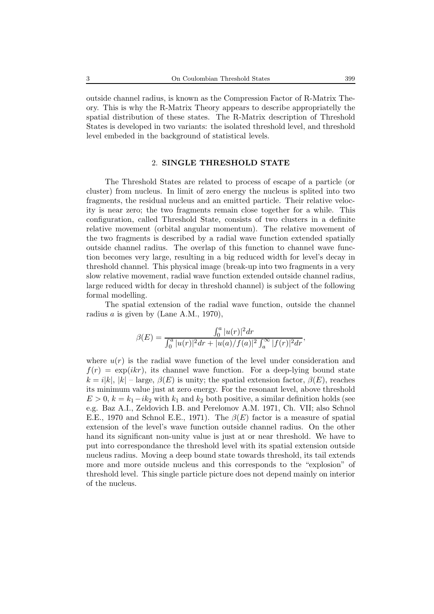outside channel radius, is known as the Compression Factor of R-Matrix Theory. This is why the R-Matrix Theory appears to describe appropriatelly the spatial distribution of these states. The R-Matrix description of Threshold States is developed in two variants: the isolated threshold level, and threshold level embeded in the background of statistical levels.

### 2. **SINGLE THRESHOLD STATE**

The Threshold States are related to process of escape of a particle (or cluster) from nucleus. In limit of zero energy the nucleus is splited into two fragments, the residual nucleus and an emitted particle. Their relative velocity is near zero; the two fragments remain close together for a while. This configuration, called Threshold State, consists of two clusters in a definite relative movement (orbital angular momentum). The relative movement of the two fragments is described by a radial wave function extended spatially outside channel radius. The overlap of this function to channel wave function becomes very large, resulting in a big reduced width for level's decay in threshold channel. This physical image (break-up into two fragments in a very slow relative movement, radial wave function extended outside channel radius, large reduced width for decay in threshold channel) is subject of the following formal modelling.

The spatial extension of the radial wave function, outside the channel radius a is given by (Lane A.M., 1970),

$$
\beta(E) = \frac{\int_0^a |u(r)|^2 dr}{\int_0^a |u(r)|^2 dr + |u(a)/f(a)|^2 \int_a^\infty |f(r)|^2 dr},
$$

where  $u(r)$  is the radial wave function of the level under consideration and  $f(r) = \exp(ikr)$ , its channel wave function. For a deep-lying bound state  $k = i|k|, |k|$  – large,  $\beta(E)$  is unity; the spatial extension factor,  $\beta(E)$ , reaches its minimum value just at zero energy. For the resonant level, above threshold  $E > 0$ ,  $k = k_1 - ik_2$  with  $k_1$  and  $k_2$  both positive, a similar definition holds (see e.g. Baz A.I., Zeldovich I.B. and Perelomov A.M. 1971, Ch. VII; also Schnol E.E., 1970 and Schnol E.E., 1971). The  $\beta(E)$  factor is a measure of spatial extension of the level's wave function outside channel radius. On the other hand its significant non-unity value is just at or near threshold. We have to put into correspondance the threshold level with its spatial extension outside nucleus radius. Moving a deep bound state towards threshold, its tail extends more and more outside nucleus and this corresponds to the "explosion" of threshold level. This single particle picture does not depend mainly on interior of the nucleus.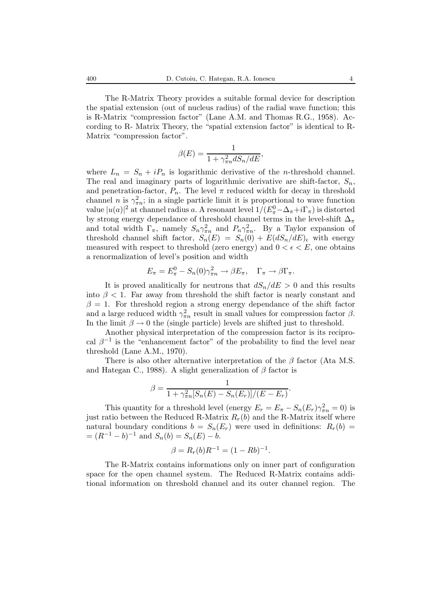The R-Matrix Theory provides a suitable formal device for description the spatial extension (out of nucleus radius) of the radial wave function; this is R-Matrix "compression factor" (Lane A.M. and Thomas R.G., 1958). According to R- Matrix Theory, the "spatial extension factor" is identical to R-Matrix "compression factor".

$$
\beta(E) = \frac{1}{1 + \gamma_{\pi n}^2 dS_n/dE},
$$

where  $L_n = S_n + iP_n$  is logarithmic derivative of the *n*-threshold channel. The real and imaginary parts of logarithmic derivative are shift-factor,  $S_n$ , and penetration-factor,  $P_n$ . The level  $\pi$  reduced width for decay in threshold channel n is  $\gamma_{\pi n}^2$ ; in a single particle limit it is proportional to wave function value  $|u(a)|^2$  at channel radius a. A resonant level  $1/(E_{\pi}^0 - \Delta_{\pi} + i\Gamma_{\pi})$  is distorted by strong energy dependance of threshold channel terms in the level-shift  $\Delta_{\pi}$ and total width  $\Gamma_{\pi}$ , namely  $S_n \gamma_{\pi n}^2$  and  $P_n \gamma_{\pi n}^2$ . By a Taylor expansion of threshold channel shift factor,  $S_n(E) = S_n(0) + E(dS_n/dE)_{\epsilon}$  with energy measured with respect to threshold (zero energy) and  $0 < \epsilon < E$ , one obtains a renormalization of level's position and width

$$
E_{\pi} = E_{\pi}^{0} - S_{n}(0)\gamma_{\pi n}^{2} \to \beta E_{\pi}, \quad \Gamma_{\pi} \to \beta \Gamma_{\pi}.
$$

It is proved analitically for neutrons that  $dS_n/dE > 0$  and this results into  $\beta$  < 1. Far away from threshold the shift factor is nearly constant and  $\beta = 1$ . For threshold region a strong energy dependance of the shift factor and a large reduced width  $\gamma_{\pi n}^2$  result in small values for compression factor  $\beta$ . In the limit  $\beta \to 0$  the (single particle) levels are shifted just to threshold.

Another physical interpretation of the compression factor is its reciprocal  $\beta^{-1}$  is the "enhancement factor" of the probability to find the level near threshold (Lane A.M., 1970).

There is also other alternative interpretation of the  $\beta$  factor (Ata M.S. and Hategan C., 1988). A slight generalization of  $\beta$  factor is

$$
\beta = \frac{1}{1 + \gamma_{\pi n}^2 [S_n(E) - S_n(E_r)]/(E - E_r)}.
$$

This quantity for a threshold level (energy  $E_r = E_{\pi} - S_n(E_r) \gamma_{\pi n}^2 = 0$ ) is just ratio between the Reduced R-Matrix  $R_r(b)$  and the R-Matrix itself where natural boundary conditions  $b = S_n(E_r)$  were used in definitions:  $R_r(b) =$  $=(R^{-1}-b)^{-1}$  and  $S_n(b) = S_n(E) - b$ .

$$
\beta = R_r(b)R^{-1} = (1 - Rb)^{-1}.
$$

The R-Matrix contains informations only on inner part of configuration space for the open channel system. The Reduced R-Matrix contains additional information on threshold channel and its outer channel region. The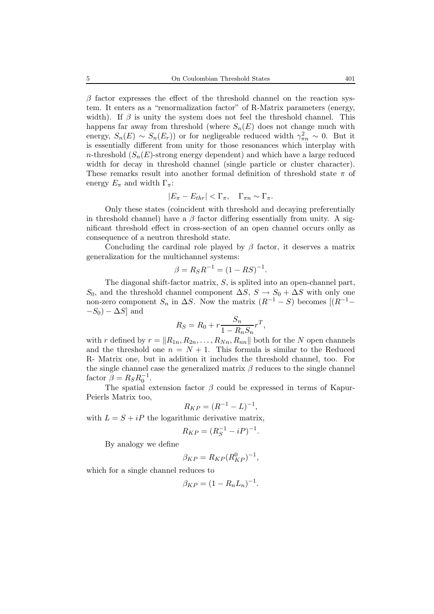$\beta$  factor expresses the effect of the threshold channel on the reaction system. It enters as a "renormalization factor" of R-Matrix parameters (energy, width). If  $\beta$  is unity the system does not feel the threshold channel. This happens far away from threshold (where  $S_n(E)$  does not change much with energy,  $S_n(E) \sim S_n(E_r)$  or for negligeable reduced width  $\gamma_{\pi n}^2 \sim 0$ . But it is essentially different from unity for those resonances which interplay with n-threshold  $(S_n(E)$ -strong energy dependent) and which have a large reduced width for decay in threshold channel (single particle or cluster character). These remarks result into another formal definition of threshold state  $\pi$  of energy  $E_{\pi}$  and width  $\Gamma_{\pi}$ :

$$
|E_{\pi} - E_{thr}| < \Gamma_{\pi}, \quad \Gamma_{\pi n} \sim \Gamma_{\pi}.
$$

Only these states (coincident with threshold and decaying preferentially in threshold channel) have a  $\beta$  factor differing essentially from unity. A significant threshold effect in cross-section of an open channel occurs onlly as consequence of a neutron threshold state.

Concluding the cardinal role played by  $\beta$  factor, it deserves a matrix generalization for the multichannel systems:

$$
\beta = R_S R^{-1} = (1 - RS)^{-1}.
$$

The diagonal shift-factor matrix, S, is splited into an open-channel part,  $S_0$ , and the threshold channel component  $\Delta S$ ,  $S \to S_0 + \Delta S$  with only one non-zero component  $S_n$  in  $\Delta S$ . Now the matrix  $(R^{-1} - S)$  becomes  $[(R^{-1} - S)]$  $-S_0$ ) –  $\Delta S$ ] and

$$
R_S = R_0 + r \frac{S_n}{1 - R_n S_n} r^T,
$$

with r defined by  $r = ||R_{1n}, R_{2n}, \ldots, R_{Nn}, R_{nn}||$  both for the N open channels and the threshold one  $n = N + 1$ . This formula is similar to the Reduced R- Matrix one, but in addition it includes the threshold channel, too. For the single channel case the generalized matrix  $\beta$  reduces to the single channel factor  $\bar{\beta} = R_S R_0^{-1}$ .

The spatial extension factor  $\beta$  could be expressed in terms of Kapur-Peierls Matrix too,

$$
R_{KP} = (R^{-1} - L)^{-1},
$$

with  $L = S + iP$  the logarithmic derivative matrix,

$$
R_{KP} = (R_S^{-1} - iP)^{-1}.
$$

By analogy we define

$$
\beta_{KP} = R_{KP}(R_{KP}^0)^{-1},
$$

which for a single channel reduces to

$$
\beta_{KP} = (1 - R_n L_n)^{-1}.
$$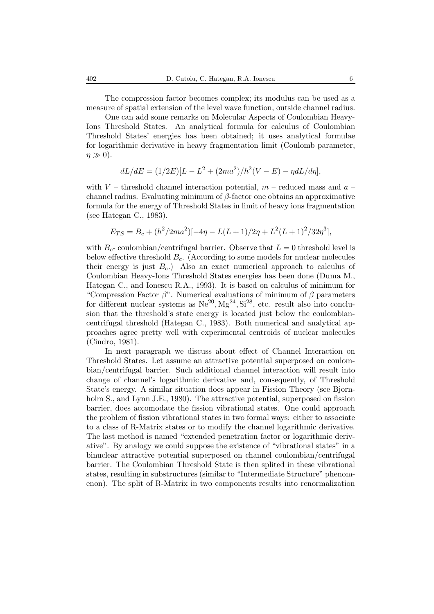The compression factor becomes complex; its modulus can be used as a measure of spatial extension of the level wave function, outside channel radius.

One can add some remarks on Molecular Aspects of Coulombian Heavy-Ions Threshold States. An analytical formula for calculus of Coulombian Threshold States' energies has been obtained; it uses analytical formulae for logarithmic derivative in heavy fragmentation limit (Coulomb parameter,  $\eta \gg 0$ ).

$$
dL/dE = (1/2E)[L - L^2 + (2ma^2)/h^2(V - E) - \eta dL/d\eta],
$$

with  $V$  – threshold channel interaction potential,  $m$  – reduced mass and  $a$  – channel radius. Evaluating minimum of  $\beta$ -factor one obtains an approximative formula for the energy of Threshold States in limit of heavy ions fragmentation (see Hategan C., 1983).

$$
E_{TS} = B_c + (h^2/2ma^2)[-4\eta - L(L+1)/2\eta + L^2(L+1)^2/32\eta^3],
$$

with  $B_c$ - coulombian/centrifugal barrier. Observe that  $L = 0$  threshold level is below effective threshold  $B_c$ . (According to some models for nuclear molecules their energy is just  $B<sub>c</sub>$ .) Also an exact numerical approach to calculus of Coulombian Heavy-Ions Threshold States energies has been done (Duma M., Hategan C., and Ionescu R.A., 1993). It is based on calculus of minimum for "Compression Factor  $\beta$ ". Numerical evaluations of minimum of  $\beta$  parameters for different nuclear systems as  $Ne^{20}$ ,  $Mg^{24}$ ,  $Si^{28}$ , etc. result also into conclusion that the threshold's state energy is located just below the coulombiancentrifugal threshold (Hategan C., 1983). Both numerical and analytical approaches agree pretty well with experimental centroids of nuclear molecules (Cindro, 1981).

In next paragraph we discuss about effect of Channel Interaction on Threshold States. Let assume an attractive potential superposed on coulombian/centrifugal barrier. Such additional channel interaction will result into change of channel's logarithmic derivative and, consequently, of Threshold State's energy. A similar situation does appear in Fission Theory (see Bjornholm S., and Lynn J.E., 1980). The attractive potential, superposed on fission barrier, does accomodate the fission vibrational states. One could approach the problem of fission vibrational states in two formal ways: either to associate to a class of R-Matrix states or to modify the channel logarithmic derivative. The last method is named "extended penetration factor or logarithmic derivative". By analogy we could suppose the existence of "vibrational states" in a binuclear attractive potential superposed on channel coulombian/centrifugal barrier. The Coulombian Threshold State is then splited in these vibrational states, resulting in substructures (similar to "Intermediate Structure" phenomenon). The split of R-Matrix in two components results into renormalization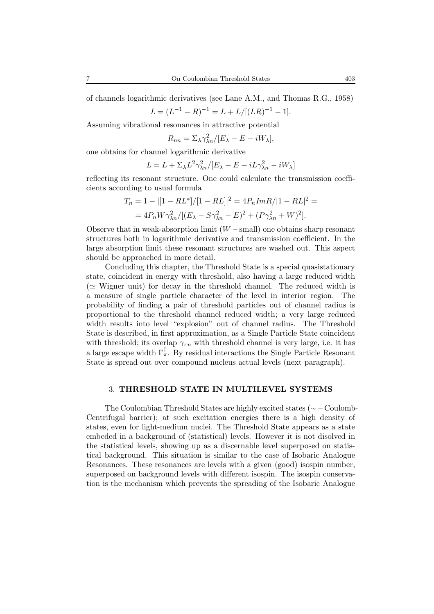of channels logarithmic derivatives (see Lane A.M., and Thomas R.G., 1958)

$$
L = (L^{-1} - R)^{-1} = L + L/[(LR)^{-1} - 1].
$$

Assuming vibrational resonances in attractive potential

$$
R_{nn} = \sum_{\lambda} \frac{\lambda_n}{E_{\lambda} - E - iW_{\lambda}},
$$

one obtains for channel logarithmic derivative

$$
L = L + \Sigma_{\lambda} L^2 \gamma_{\lambda n}^2 / [E_{\lambda} - E - iL \gamma_{\lambda n}^2 - iW_{\lambda}]
$$

reflecting its resonant structure. One could calculate the transmission coefficients according to usual formula

$$
T_n = 1 - |[1 - RL^*]/[1 - RL]|^2 = 4P_n Im R/|1 - RL|^2 =
$$
  
= 
$$
4P_n W \gamma_{\lambda n}^2 / [(E_\lambda - S\gamma_{\lambda n}^2 - E)^2 + (P\gamma_{\lambda n}^2 + W)^2].
$$

Observe that in weak-absorption limit  $(W - \text{small})$  one obtains sharp resonant structures both in logarithmic derivative and transmission coefficient. In the large absorption limit these resonant structures are washed out. This aspect should be approached in more detail.

Concluding this chapter, the Threshold State is a special quasistationary state, coincident in energy with threshold, also having a large reduced width ( $\simeq$  Wigner unit) for decay in the threshold channel. The reduced width is a measure of single particle character of the level in interior region. The probability of finding a pair of threshold particles out of channel radius is proportional to the threshold channel reduced width; a very large reduced width results into level "explosion" out of channel radius. The Threshold State is described, in first approximation, as a Single Particle State coincident with threshold; its overlap  $\gamma_{\pi n}$  with threshold channel is very large, i.e. it has a large escape width  $\Gamma_{\pi}^{\perp}$ . By residual interactions the Single Particle Resonant State is spread out over compound nucleus actual levels (next paragraph).

### 3. **THRESHOLD STATE IN MULTILEVEL SYSTEMS**

The Coulombian Threshold States are highly excited states (∼ – Coulomb-Centrifugal barrier); at such excitation energies there is a high density of states, even for light-medium nuclei. The Threshold State appears as a state embeded in a background of (statistical) levels. However it is not disolved in the statistical levels, showing up as a discernable level superposed on statistical background. This situation is similar to the case of Isobaric Analogue Resonances. These resonances are levels with a given (good) isospin number, superposed on background levels with different isospin. The isospin conservation is the mechanism which prevents the spreading of the Isobaric Analogue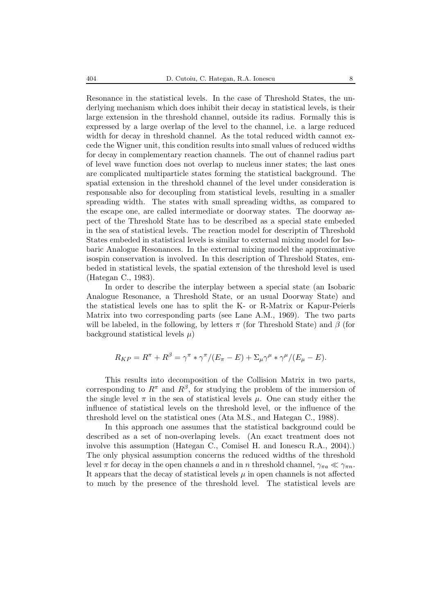Resonance in the statistical levels. In the case of Threshold States, the underlying mechanism which does inhibit their decay in statistical levels, is their large extension in the threshold channel, outside its radius. Formally this is expressed by a large overlap of the level to the channel, i.e. a large reduced width for decay in threshold channel. As the total reduced width cannot excede the Wigner unit, this condition results into small values of reduced widths for decay in complementary reaction channels. The out of channel radius part of level wave function does not overlap to nucleus inner states; the last ones are complicated multiparticle states forming the statistical background. The spatial extension in the threshold channel of the level under consideration is responsable also for decoupling from statistical levels, resulting in a smaller spreading width. The states with small spreading widths, as compared to the escape one, are called intermediate or doorway states. The doorway aspect of the Threshold State has to be described as a special state embeded in the sea of statistical levels. The reaction model for descriptin of Threshold States embeded in statistical levels is similar to external mixing model for Isobaric Analogue Resonances. In the external mixing model the approximative isospin conservation is involved. In this description of Threshold States, embeded in statistical levels, the spatial extension of the threshold level is used (Hategan C., 1983).

In order to describe the interplay between a special state (an Isobaric Analogue Resonance, a Threshold State, or an usual Doorway State) and the statistical levels one has to split the K- or R-Matrix or Kapur-Peierls Matrix into two corresponding parts (see Lane A.M., 1969). The two parts will be labeled, in the following, by letters  $\pi$  (for Threshold State) and  $\beta$  (for background statistical levels  $\mu$ )

$$
R_{KP} = R^{\pi} + R^{\beta} = \gamma^{\pi} * \gamma^{\pi} / (E_{\pi} - E) + \Sigma_{\mu} \gamma^{\mu} * \gamma^{\mu} / (E_{\mu} - E).
$$

This results into decomposition of the Collision Matrix in two parts, corresponding to  $R^{\pi}$  and  $R^{\beta}$ , for studying the problem of the immersion of the single level  $\pi$  in the sea of statistical levels  $\mu$ . One can study either the influence of statistical levels on the threshold level, or the influence of the threshold level on the statistical ones (Ata M.S., and Hategan C., 1988).

In this approach one assumes that the statistical background could be described as a set of non-overlaping levels. (An exact treatment does not involve this assumption (Hategan C., Comisel H. and Ionescu R.A., 2004).) The only physical assumption concerns the reduced widths of the threshold level  $\pi$  for decay in the open channels a and in n threshold channel,  $\gamma_{\pi a} \ll \gamma_{\pi n}$ . It appears that the decay of statistical levels  $\mu$  in open channels is not affected to much by the presence of the threshold level. The statistical levels are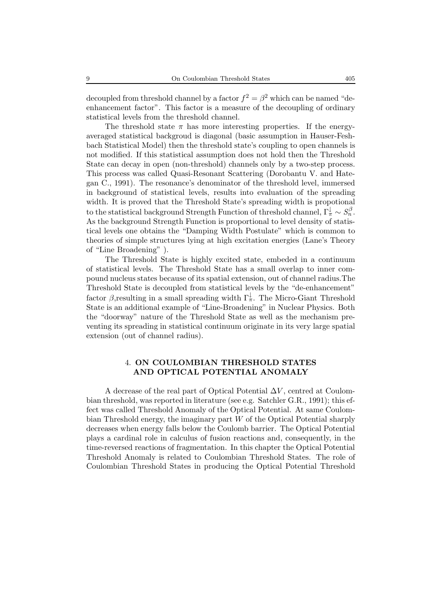decoupled from threshold channel by a factor  $f^2 = \beta^2$  which can be named "deenhancement factor". This factor is a measure of the decoupling of ordinary statistical levels from the threshold channel.

The threshold state  $\pi$  has more interesting properties. If the energyaveraged statistical backgroud is diagonal (basic assumption in Hauser-Feshbach Statistical Model) then the threshold state's coupling to open channels is not modified. If this statistical assumption does not hold then the Threshold State can decay in open (non-threshold) channels only by a two-step process. This process was called Quasi-Resonant Scattering (Dorobantu V. and Hategan C., 1991). The resonance's denominator of the threshold level, immersed in background of statistical levels, results into evaluation of the spreading width. It is proved that the Threshold State's spreading width is propotional to the statistical background Strength Function of threshold channel,  $\Gamma_{\pi}^{\downarrow} \sim S_n^{\beta}$ . As the background Strength Function is proportional to level density of statistical levels one obtains the "Damping Width Postulate" which is common to theories of simple structures lying at high excitation energies (Lane's Theory of "Line Broadening" ).

The Threshold State is highly excited state, embeded in a continuum of statistical levels. The Threshold State has a small overlap to inner compound nucleus states because of its spatial extension, out of channel radius.The Threshold State is decoupled from statistical levels by the "de-enhancement" factor  $\beta$ , resulting in a small spreading width  $\Gamma_{\pi}^{\downarrow}$ . The Micro-Giant Threshold State is an additional example of "Line-Broadening" in Nuclear Physics. Both the "doorway" nature of the Threshold State as well as the mechanism preventing its spreading in statistical continuum originate in its very large spatial extension (out of channel radius).

# 4. **ON COULOMBIAN THRESHOLD STATES AND OPTICAL POTENTIAL ANOMALY**

A decrease of the real part of Optical Potential  $\Delta V$ , centred at Coulombian threshold, was reported in literature (see e.g. Satchler G.R., 1991); this effect was called Threshold Anomaly of the Optical Potential. At same Coulombian Threshold energy, the imaginary part W of the Optical Potential sharply decreases when energy falls below the Coulomb barrier. The Optical Potential plays a cardinal role in calculus of fusion reactions and, consequently, in the time-reversed reactions of fragmentation. In this chapter the Optical Potential Threshold Anomaly is related to Coulombian Threshold States. The role of Coulombian Threshold States in producing the Optical Potential Threshold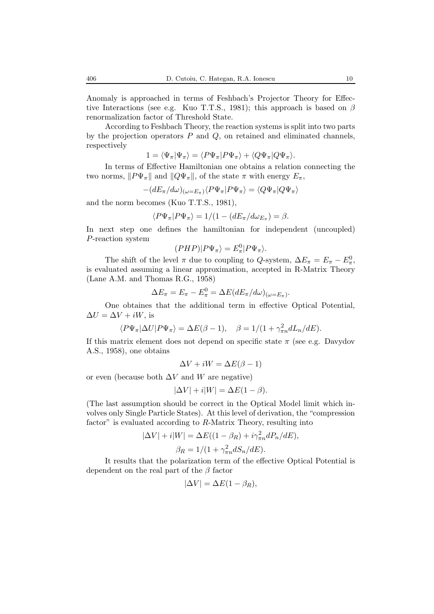Anomaly is approached in terms of Feshbach's Projector Theory for Effective Interactions (see e.g. Kuo T.T.S., 1981); this approach is based on  $\beta$ renormalization factor of Threshold State.

According to Feshbach Theory, the reaction systems is split into two parts by the projection operators  $P$  and  $Q$ , on retained and eliminated channels, respectively

$$
1=\langle \Psi_\pi|\Psi_\pi\rangle=\langle P\Psi_\pi|P\Psi_\pi\rangle+\langle Q\Psi_\pi|Q\Psi_\pi\rangle.
$$

In terms of Effective Hamiltonian one obtains a relation connecting the two norms,  $||P\Psi_{\pi}||$  and  $||Q\Psi_{\pi}||$ , of the state  $\pi$  with energy  $E_{\pi}$ ,

$$
-(dE_\pi/d\omega)_{(\omega=E_\pi)} \langle P\Psi_\pi|P\Psi_\pi\rangle = \langle Q\Psi_\pi|Q\Psi_\pi\rangle
$$

and the norm becomes (Kuo T.T.S., 1981),

$$
\langle P\Psi_\pi | P\Psi_\pi \rangle = 1/(1 - (dE_\pi/d\omega_{E_\pi}) = \beta.
$$

In next step one defines the hamiltonian for independent (uncoupled) P-reaction system

$$
(PHP)|P\Psi_\pi\rangle=E_\pi^0|P\Psi_\pi\rangle.
$$

The shift of the level  $\pi$  due to coupling to Q-system,  $\Delta E_{\pi} = E_{\pi} - E_{\pi}^0$ , is evaluated assuming a linear approximation, accepted in R-Matrix Theory (Lane A.M. and Thomas R.G., 1958)

$$
\Delta E_{\pi} = E_{\pi} - E_{\pi}^{0} = \Delta E (dE_{\pi}/d\omega)_{(\omega = E_{\pi})}.
$$

One obtaines that the additional term in effective Optical Potential,  $\Delta U = \Delta V + iW$ , is

$$
\langle P\Psi_{\pi}|\Delta U|P\Psi_{\pi}\rangle = \Delta E(\beta - 1), \quad \beta = 1/(1 + \gamma_{\pi n}^2 dL_n/dE).
$$

If this matrix element does not depend on specific state  $\pi$  (see e.g. Davydov) A.S., 1958), one obtains

$$
\Delta V+iW=\Delta E(\beta-1)
$$

or even (because both  $\Delta V$  and W are negative)

$$
|\Delta V| + i|W| = \Delta E(1 - \beta).
$$

(The last assumption should be correct in the Optical Model limit which involves only Single Particle States). At this level of derivation, the "compression factor" is evaluated according to R-Matrix Theory, resulting into

$$
|\Delta V| + i|W| = \Delta E((1 - \beta_R) + i\gamma_{\pi n}^2 dP_n/dE),
$$
  

$$
\beta_R = 1/(1 + \gamma_{\pi n}^2 dS_n/dE).
$$

It results that the polarization term of the effective Optical Potential is dependent on the real part of the  $\beta$  factor

$$
|\Delta V|=\Delta E(1-\beta_R),
$$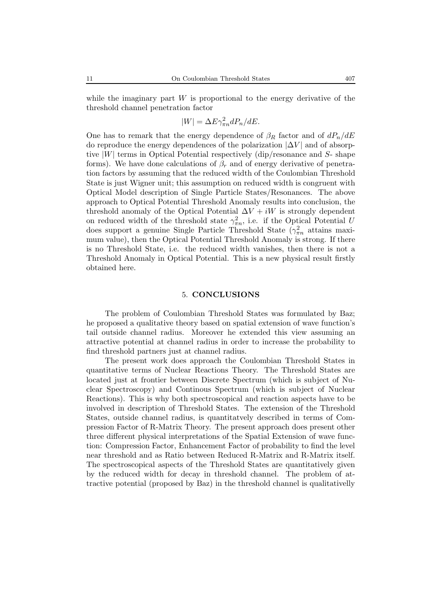while the imaginary part  $W$  is proportional to the energy derivative of the threshold channel penetration factor

$$
|W| = \Delta E \gamma_{\pi n}^2 dP_n/dE.
$$

One has to remark that the energy dependence of  $\beta_R$  factor and of  $dP_n/dE$ do reproduce the energy dependences of the polarization  $|\Delta V|$  and of absorptive  $|W|$  terms in Optical Potential respectively (dip/resonance and  $S$ - shape forms). We have done calculations of  $\beta_r$  and of energy derivative of penetration factors by assuming that the reduced width of the Coulombian Threshold State is just Wigner unit; this assumption on reduced width is congruent with Optical Model description of Single Particle States/Resonances. The above approach to Optical Potential Threshold Anomaly results into conclusion, the threshold anomaly of the Optical Potential  $\Delta V + iW$  is strongly dependent on reduced width of the threshold state  $\gamma_{\pi n}^2$ , i.e. if the Optical Potential U does support a genuine Single Particle Threshold State  $(\gamma_{\pi n}^2$  attains maximum value), then the Optical Potential Threshold Anomaly is strong. If there is no Threshold State, i.e. the reduced width vanishes, then there is not a Threshold Anomaly in Optical Potential. This is a new physical result firstly obtained here.

### 5. **CONCLUSIONS**

The problem of Coulombian Threshold States was formulated by Baz; he proposed a qualitative theory based on spatial extension of wave function's tail outside channel radius. Moreover he extended this view assuming an attractive potential at channel radius in order to increase the probability to find threshold partners just at channel radius.

The present work does approach the Coulombian Threshold States in quantitative terms of Nuclear Reactions Theory. The Threshold States are located just at frontier between Discrete Spectrum (which is subject of Nuclear Spectroscopy) and Continous Spectrum (which is subject of Nuclear Reactions). This is why both spectroscopical and reaction aspects have to be involved in description of Threshold States. The extension of the Threshold States, outside channel radius, is quantitatvely described in terms of Compression Factor of R-Matrix Theory. The present approach does present other three different physical interpretations of the Spatial Extension of wave function: Compression Factor, Enhancement Factor of probability to find the level near threshold and as Ratio between Reduced R-Matrix and R-Matrix itself. The spectroscopical aspects of the Threshold States are quantitatively given by the reduced width for decay in threshold channel. The problem of attractive potential (proposed by Baz) in the threshold channel is qualitativelly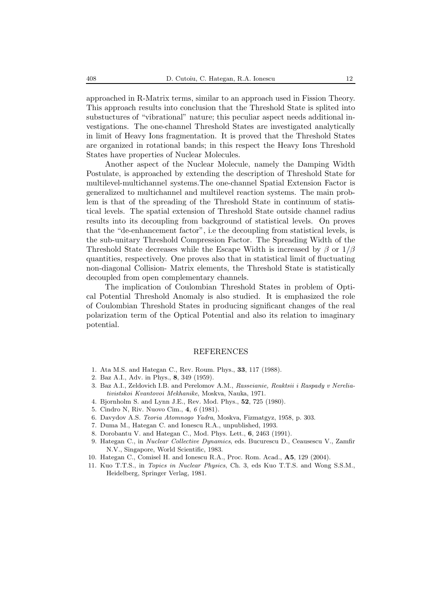approached in R-Matrix terms, similar to an approach used in Fission Theory. This approach results into conclusion that the Threshold State is splited into substuctures of "vibrational" nature; this peculiar aspect needs additional investigations. The one-channel Threshold States are investigated analytically in limit of Heavy Ions fragmentation. It is proved that the Threshold States are organized in rotational bands; in this respect the Heavy Ions Threshold States have properties of Nuclear Molecules.

Another aspect of the Nuclear Molecule, namely the Damping Width Postulate, is approached by extending the description of Threshold State for multilevel-multichannel systems.The one-channel Spatial Extension Factor is generalized to multichannel and multilevel reaction systems. The main problem is that of the spreading of the Threshold State in continuum of statistical levels. The spatial extension of Threshold State outside channel radius results into its decoupling from background of statistical levels. On proves that the "de-enhancement factor", i.e the decoupling from statistical levels, is the sub-unitary Threshold Compression Factor. The Spreading Width of the Threshold State decreases while the Escape Width is increased by  $\beta$  or  $1/\beta$ quantities, respectively. One proves also that in statistical limit of fluctuating non-diagonal Collision- Matrix elements, the Threshold State is statistically decoupled from open complementary channels.

The implication of Coulombian Threshold States in problem of Optical Potential Threshold Anomaly is also studied. It is emphasized the role of Coulombian Threshold States in producing significant changes of the real polarization term of the Optical Potential and also its relation to imaginary potential.

#### REFERENCES

- 1. Ata M.S. and Hategan C., Rev. Roum. Phys., **33**, 117 (1988).
- 2. Baz A.I., Adv. in Phys., **8**, 349 (1959).
- 3. Baz A.I., Zeldovich I.B. and Perelomov A.M., *Rasseianie, Reaktsii i Raspady v Nereliativistskoi Kvantovoi Mekhanike*, Moskva, Nauka, 1971.
- 4. Bjornholm S. and Lynn J.E., Rev. Mod. Phys., **52**, 725 (1980).
- 5. Cindro N, Riv. Nuovo Cim., **4**, *6* (1981).
- 6. Davydov A.S. *Teoria Atomnogo Yadra*, Moskva, Fizmatgyz, 1958, p. 303.
- 7. Duma M., Hategan C. and Ionescu R.A., unpublished, 1993.
- 8. Dorobantu V. and Hategan C., Mod. Phys. Lett., **6**, 2463 (1991).
- 9. Hategan C., in *Nuclear Collective Dynamics*, eds. Bucurescu D., Ceausescu V., Zamfir N.V., Singapore, World Scientific, 1983.
- 10. Hategan C., Comisel H. and Ionescu R.A., Proc. Rom. Acad., **A5**, 129 (2004).
- 11. Kuo T.T.S., in *Topics in Nuclear Physics*, Ch. 3, eds Kuo T.T.S. and Wong S.S.M., Heidelberg, Springer Verlag, 1981.